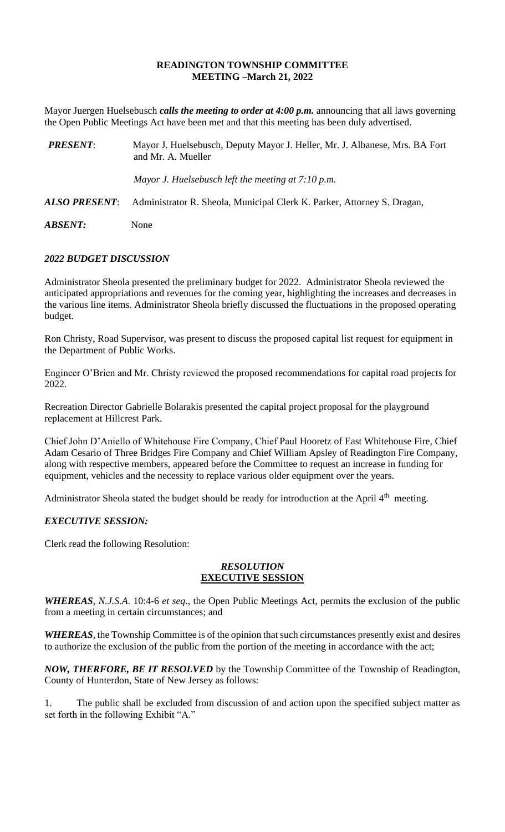### **READINGTON TOWNSHIP COMMITTEE MEETING –March 21, 2022**

Mayor Juergen Huelsebusch *calls the meeting to order at 4:00 p.m.* announcing that all laws governing the Open Public Meetings Act have been met and that this meeting has been duly advertised.

| <b>PRESENT:</b> | Mayor J. Huelsebusch, Deputy Mayor J. Heller, Mr. J. Albanese, Mrs. BA Fort<br>and Mr. A. Mueller |
|-----------------|---------------------------------------------------------------------------------------------------|
|                 | Mayor J. Huelsebusch left the meeting at $7:10$ p.m.                                              |
| ALSO PRESENT:   | Administrator R. Sheola, Municipal Clerk K. Parker, Attorney S. Dragan,                           |
| ABSENT:         | None                                                                                              |

# *2022 BUDGET DISCUSSION*

Administrator Sheola presented the preliminary budget for 2022. Administrator Sheola reviewed the anticipated appropriations and revenues for the coming year, highlighting the increases and decreases in the various line items. Administrator Sheola briefly discussed the fluctuations in the proposed operating budget.

Ron Christy, Road Supervisor, was present to discuss the proposed capital list request for equipment in the Department of Public Works.

Engineer O'Brien and Mr. Christy reviewed the proposed recommendations for capital road projects for 2022.

Recreation Director Gabrielle Bolarakis presented the capital project proposal for the playground replacement at Hillcrest Park.

Chief John D'Aniello of Whitehouse Fire Company, Chief Paul Hooretz of East Whitehouse Fire, Chief Adam Cesario of Three Bridges Fire Company and Chief William Apsley of Readington Fire Company, along with respective members, appeared before the Committee to request an increase in funding for equipment, vehicles and the necessity to replace various older equipment over the years.

Administrator Sheola stated the budget should be ready for introduction at the April 4<sup>th</sup> meeting.

#### *EXECUTIVE SESSION:*

Clerk read the following Resolution:

#### *RESOLUTION* **EXECUTIVE SESSION**

*WHEREAS*, *N.J.S.A*. 10:4-6 *et seq*., the Open Public Meetings Act, permits the exclusion of the public from a meeting in certain circumstances; and

*WHEREAS,* the Township Committee is of the opinion that such circumstances presently exist and desires to authorize the exclusion of the public from the portion of the meeting in accordance with the act;

*NOW, THERFORE, BE IT RESOLVED* by the Township Committee of the Township of Readington, County of Hunterdon, State of New Jersey as follows:

1. The public shall be excluded from discussion of and action upon the specified subject matter as set forth in the following Exhibit "A."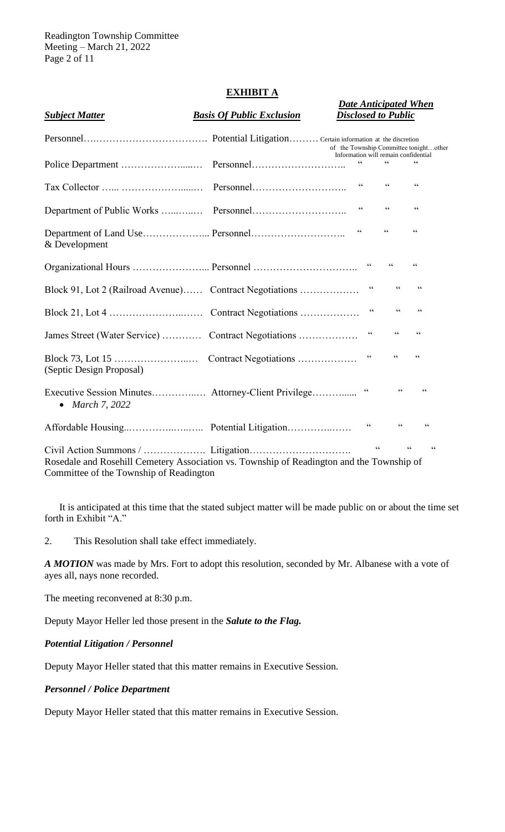Readington Township Committee Meeting – March 21, 2022 Page 2 of 11

# **EXHIBIT A**

# *Date Anticipated When Subject Matter Basis Of Public Exclusion Disclosed to Public* Personnel….……………………………. Potential Litigation………Certain information at the discretion of the Township Committee tonight…other Information will remain confidential Police Department ……………….....… Personnel……………………….. " " " Tax Collector …... ……………….....… Personnel……………………….. " " " Department of Public Works …...…..… Personnel……………………….. " " " Department of Land Use………………... Personnel……………………….. " " " & Development Organizational Hours ……………………… Personnel ……………………………………… " " " " " Block 91, Lot 2 (Railroad Avenue)…… Contract Negotiations ……………… " " " " Block 21, Lot 4 …………………..…… Contract Negotiations ……………… " " " James Street (Water Service) ………… Contract Negotiations ……………… " " " " Block 73, Lot 15 …………………..… Contract Negotiations ……………… " " " (Septic Design Proposal) Executive Session Minutes……………... Attorney-Client Privilege………….. " " " • *March 7, 2022* Affordable Housing..…………..…..….. Potential Litigation…………..…… " " " Civil Action Summons / ………………. Litigation…………………………. " " " Rosedale and Rosehill Cemetery Association vs. Township of Readington and the Township of Committee of the Township of Readington

It is anticipated at this time that the stated subject matter will be made public on or about the time set forth in Exhibit "A."

2. This Resolution shall take effect immediately.

*A MOTION* was made by Mrs. Fort to adopt this resolution, seconded by Mr. Albanese with a vote of ayes all, nays none recorded.

The meeting reconvened at 8:30 p.m.

Deputy Mayor Heller led those present in the *Salute to the Flag.*

#### *Potential Litigation / Personnel*

Deputy Mayor Heller stated that this matter remains in Executive Session.

#### *Personnel / Police Department*

Deputy Mayor Heller stated that this matter remains in Executive Session.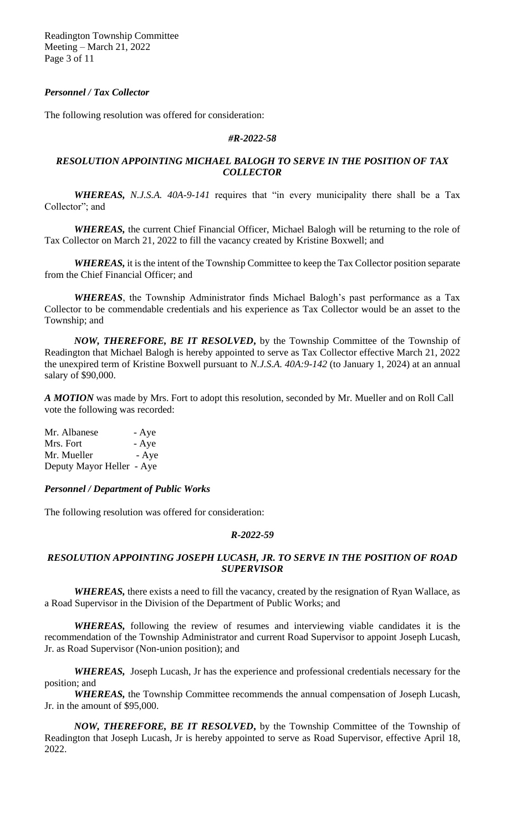Readington Township Committee Meeting – March 21, 2022 Page 3 of 11

# *Personnel / Tax Collector*

The following resolution was offered for consideration:

#### *#R-2022-58*

# *RESOLUTION APPOINTING MICHAEL BALOGH TO SERVE IN THE POSITION OF TAX COLLECTOR*

*WHEREAS, N.J.S.A. 40A-9-141* requires that "in every municipality there shall be a Tax Collector"; and

*WHEREAS,* the current Chief Financial Officer, Michael Balogh will be returning to the role of Tax Collector on March 21, 2022 to fill the vacancy created by Kristine Boxwell; and

*WHEREAS,* it is the intent of the Township Committee to keep the Tax Collector position separate from the Chief Financial Officer; and

*WHEREAS*, the Township Administrator finds Michael Balogh's past performance as a Tax Collector to be commendable credentials and his experience as Tax Collector would be an asset to the Township; and

*NOW, THEREFORE, BE IT RESOLVED***,** by the Township Committee of the Township of Readington that Michael Balogh is hereby appointed to serve as Tax Collector effective March 21, 2022 the unexpired term of Kristine Boxwell pursuant to *N.J.S.A. 40A:9-142* (to January 1, 2024) at an annual salary of \$90,000.

*A MOTION* was made by Mrs. Fort to adopt this resolution, seconded by Mr. Mueller and on Roll Call vote the following was recorded:

| Mr. Albanese              | - Aye |
|---------------------------|-------|
| Mrs. Fort                 | - Aye |
| Mr. Mueller               | - Aye |
| Deputy Mayor Heller - Aye |       |

#### *Personnel / Department of Public Works*

The following resolution was offered for consideration:

#### *R-2022-59*

#### *RESOLUTION APPOINTING JOSEPH LUCASH, JR. TO SERVE IN THE POSITION OF ROAD SUPERVISOR*

*WHEREAS,* there exists a need to fill the vacancy, created by the resignation of Ryan Wallace, as a Road Supervisor in the Division of the Department of Public Works; and

*WHEREAS,* following the review of resumes and interviewing viable candidates it is the recommendation of the Township Administrator and current Road Supervisor to appoint Joseph Lucash, Jr. as Road Supervisor (Non-union position); and

*WHEREAS,* Joseph Lucash, Jr has the experience and professional credentials necessary for the position; and

*WHEREAS,* the Township Committee recommends the annual compensation of Joseph Lucash, Jr. in the amount of \$95,000.

*NOW, THEREFORE, BE IT RESOLVED***,** by the Township Committee of the Township of Readington that Joseph Lucash, Jr is hereby appointed to serve as Road Supervisor, effective April 18, 2022.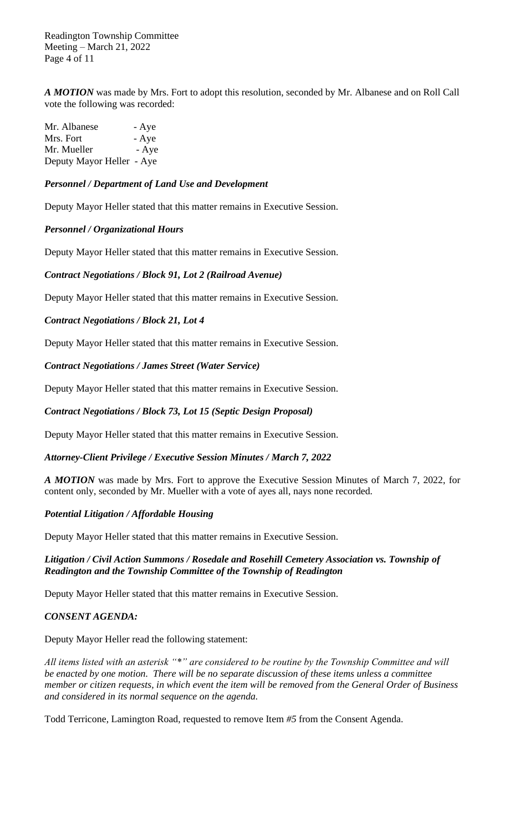Readington Township Committee Meeting – March 21, 2022 Page 4 of 11

*A MOTION* was made by Mrs. Fort to adopt this resolution, seconded by Mr. Albanese and on Roll Call vote the following was recorded:

| Mr. Albanese              | - Aye |
|---------------------------|-------|
| Mrs. Fort                 | - Aye |
| Mr. Mueller               | - Aye |
| Deputy Mayor Heller - Aye |       |

# *Personnel / Department of Land Use and Development*

Deputy Mayor Heller stated that this matter remains in Executive Session.

#### *Personnel / Organizational Hours*

Deputy Mayor Heller stated that this matter remains in Executive Session.

# *Contract Negotiations / Block 91, Lot 2 (Railroad Avenue)*

Deputy Mayor Heller stated that this matter remains in Executive Session.

# *Contract Negotiations / Block 21, Lot 4*

Deputy Mayor Heller stated that this matter remains in Executive Session.

*Contract Negotiations / James Street (Water Service)*

Deputy Mayor Heller stated that this matter remains in Executive Session.

## *Contract Negotiations / Block 73, Lot 15 (Septic Design Proposal)*

Deputy Mayor Heller stated that this matter remains in Executive Session.

#### *Attorney-Client Privilege / Executive Session Minutes / March 7, 2022*

*A MOTION* was made by Mrs. Fort to approve the Executive Session Minutes of March 7, 2022, for content only, seconded by Mr. Mueller with a vote of ayes all, nays none recorded.

#### *Potential Litigation / Affordable Housing*

Deputy Mayor Heller stated that this matter remains in Executive Session.

# *Litigation / Civil Action Summons / Rosedale and Rosehill Cemetery Association vs. Township of Readington and the Township Committee of the Township of Readington*

Deputy Mayor Heller stated that this matter remains in Executive Session.

#### *CONSENT AGENDA:*

#### Deputy Mayor Heller read the following statement:

*All items listed with an asterisk "\*" are considered to be routine by the Township Committee and will be enacted by one motion. There will be no separate discussion of these items unless a committee member or citizen requests, in which event the item will be removed from the General Order of Business and considered in its normal sequence on the agenda.*

Todd Terricone, Lamington Road, requested to remove Item *#5* from the Consent Agenda.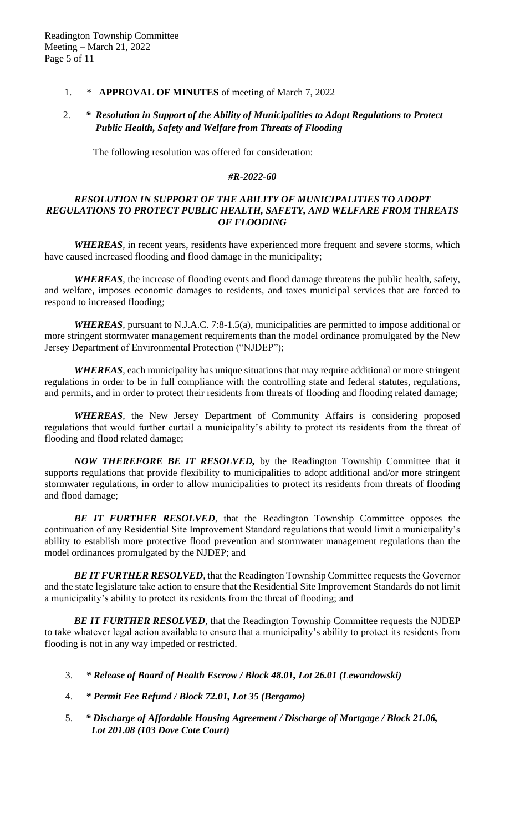# 1. \* **APPROVAL OF MINUTES** of meeting of March 7, 2022

# 2. *\* Resolution in Support of the Ability of Municipalities to Adopt Regulations to Protect Public Health, Safety and Welfare from Threats of Flooding*

The following resolution was offered for consideration:

#### *#R-2022-60*

#### *RESOLUTION IN SUPPORT OF THE ABILITY OF MUNICIPALITIES TO ADOPT REGULATIONS TO PROTECT PUBLIC HEALTH, SAFETY, AND WELFARE FROM THREATS OF FLOODING*

*WHEREAS,* in recent years, residents have experienced more frequent and severe storms, which have caused increased flooding and flood damage in the municipality;

*WHEREAS,* the increase of flooding events and flood damage threatens the public health, safety, and welfare, imposes economic damages to residents, and taxes municipal services that are forced to respond to increased flooding;

*WHEREAS,* pursuant to N.J.A.C. 7:8-1.5(a), municipalities are permitted to impose additional or more stringent stormwater management requirements than the model ordinance promulgated by the New Jersey Department of Environmental Protection ("NJDEP");

*WHEREAS,* each municipality has unique situations that may require additional or more stringent regulations in order to be in full compliance with the controlling state and federal statutes, regulations, and permits, and in order to protect their residents from threats of flooding and flooding related damage;

*WHEREAS,* the New Jersey Department of Community Affairs is considering proposed regulations that would further curtail a municipality's ability to protect its residents from the threat of flooding and flood related damage;

*NOW THEREFORE BE IT RESOLVED,* by the Readington Township Committee that it supports regulations that provide flexibility to municipalities to adopt additional and/or more stringent stormwater regulations, in order to allow municipalities to protect its residents from threats of flooding and flood damage;

*BE IT FURTHER RESOLVED,* that the Readington Township Committee opposes the continuation of any Residential Site Improvement Standard regulations that would limit a municipality's ability to establish more protective flood prevention and stormwater management regulations than the model ordinances promulgated by the NJDEP; and

*BE IT FURTHER RESOLVED,* that the Readington Township Committee requests the Governor and the state legislature take action to ensure that the Residential Site Improvement Standards do not limit a municipality's ability to protect its residents from the threat of flooding; and

*BE IT FURTHER RESOLVED,* that the Readington Township Committee requests the NJDEP to take whatever legal action available to ensure that a municipality's ability to protect its residents from flooding is not in any way impeded or restricted.

- 3. *\* Release of Board of Health Escrow / Block 48.01, Lot 26.01 (Lewandowski)*
- 4. *\* Permit Fee Refund / Block 72.01, Lot 35 (Bergamo)*
- 5. *\* Discharge of Affordable Housing Agreement / Discharge of Mortgage / Block 21.06, Lot 201.08 (103 Dove Cote Court)*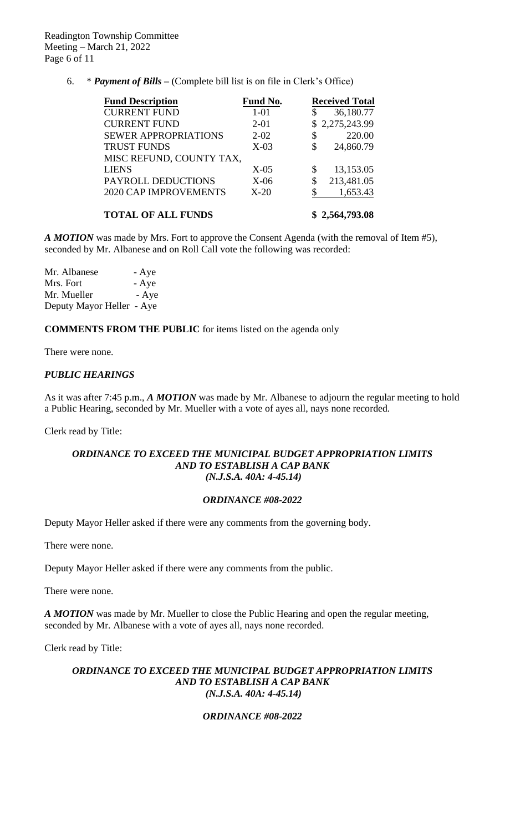6. \* *Payment of Bills –* (Complete bill list is on file in Clerk's Office)

| <b>Fund Description</b>      | Fund No. |    | <b>Received Total</b> |
|------------------------------|----------|----|-----------------------|
| <b>CURRENT FUND</b>          | $1 - 01$ | \$ | 36,180.77             |
| <b>CURRENT FUND</b>          | $2 - 01$ |    | \$2,275,243.99        |
| <b>SEWER APPROPRIATIONS</b>  | $2 - 02$ | \$ | 220.00                |
| <b>TRUST FUNDS</b>           | $X-03$   | \$ | 24,860.79             |
| MISC REFUND, COUNTY TAX,     |          |    |                       |
| <b>LIENS</b>                 | $X-05$   | \$ | 13,153.05             |
| PAYROLL DEDUCTIONS           | $X-06$   | \$ | 213,481.05            |
| <b>2020 CAP IMPROVEMENTS</b> | $X-20$   | S  | 1,653.43              |
|                              |          |    |                       |
| <b>TOTAL OF ALL FUNDS</b>    |          |    | \$2,564,793.08        |

*A MOTION* was made by Mrs. Fort to approve the Consent Agenda (with the removal of Item #5), seconded by Mr. Albanese and on Roll Call vote the following was recorded:

Mr. Albanese - Aye Mrs. Fort - Aye Mr. Mueller - Aye Deputy Mayor Heller - Aye

**COMMENTS FROM THE PUBLIC** for items listed on the agenda only

There were none.

# *PUBLIC HEARINGS*

As it was after 7:45 p.m., *A MOTION* was made by Mr. Albanese to adjourn the regular meeting to hold a Public Hearing, seconded by Mr. Mueller with a vote of ayes all, nays none recorded.

Clerk read by Title:

#### *ORDINANCE TO EXCEED THE MUNICIPAL BUDGET APPROPRIATION LIMITS AND TO ESTABLISH A CAP BANK (N.J.S.A. 40A: 4-45.14)*

#### *ORDINANCE #08-2022*

Deputy Mayor Heller asked if there were any comments from the governing body.

There were none.

Deputy Mayor Heller asked if there were any comments from the public.

There were none.

*A MOTION* was made by Mr. Mueller to close the Public Hearing and open the regular meeting, seconded by Mr. Albanese with a vote of ayes all, nays none recorded.

Clerk read by Title:

#### *ORDINANCE TO EXCEED THE MUNICIPAL BUDGET APPROPRIATION LIMITS AND TO ESTABLISH A CAP BANK (N.J.S.A. 40A: 4-45.14)*

# *ORDINANCE #08-2022*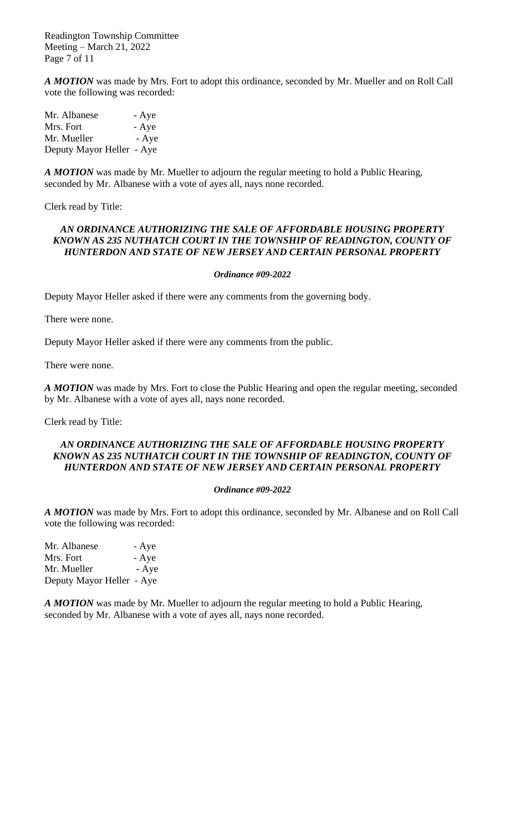Readington Township Committee Meeting – March 21, 2022 Page 7 of 11

*A MOTION* was made by Mrs. Fort to adopt this ordinance*,* seconded by Mr. Mueller and on Roll Call vote the following was recorded:

| Mr. Albanese              | - Aye |
|---------------------------|-------|
| Mrs. Fort                 | - Aye |
| Mr. Mueller               | - Aye |
| Deputy Mayor Heller - Aye |       |

*A MOTION* was made by Mr. Mueller to adjourn the regular meeting to hold a Public Hearing, seconded by Mr. Albanese with a vote of ayes all, nays none recorded.

Clerk read by Title:

#### *AN ORDINANCE AUTHORIZING THE SALE OF AFFORDABLE HOUSING PROPERTY KNOWN AS 235 NUTHATCH COURT IN THE TOWNSHIP OF READINGTON, COUNTY OF HUNTERDON AND STATE OF NEW JERSEY AND CERTAIN PERSONAL PROPERTY*

#### *Ordinance #09-2022*

Deputy Mayor Heller asked if there were any comments from the governing body.

There were none.

Deputy Mayor Heller asked if there were any comments from the public.

There were none.

*A MOTION* was made by Mrs. Fort to close the Public Hearing and open the regular meeting, seconded by Mr. Albanese with a vote of ayes all, nays none recorded.

Clerk read by Title:

## *AN ORDINANCE AUTHORIZING THE SALE OF AFFORDABLE HOUSING PROPERTY KNOWN AS 235 NUTHATCH COURT IN THE TOWNSHIP OF READINGTON, COUNTY OF HUNTERDON AND STATE OF NEW JERSEY AND CERTAIN PERSONAL PROPERTY*

#### *Ordinance #09-2022*

*A MOTION* was made by Mrs. Fort to adopt this ordinance*,* seconded by Mr. Albanese and on Roll Call vote the following was recorded:

Mr. Albanese - Aye Mrs. Fort - Aye Mr. Mueller - Aye Deputy Mayor Heller - Aye

*A MOTION* was made by Mr. Mueller to adjourn the regular meeting to hold a Public Hearing, seconded by Mr. Albanese with a vote of ayes all, nays none recorded.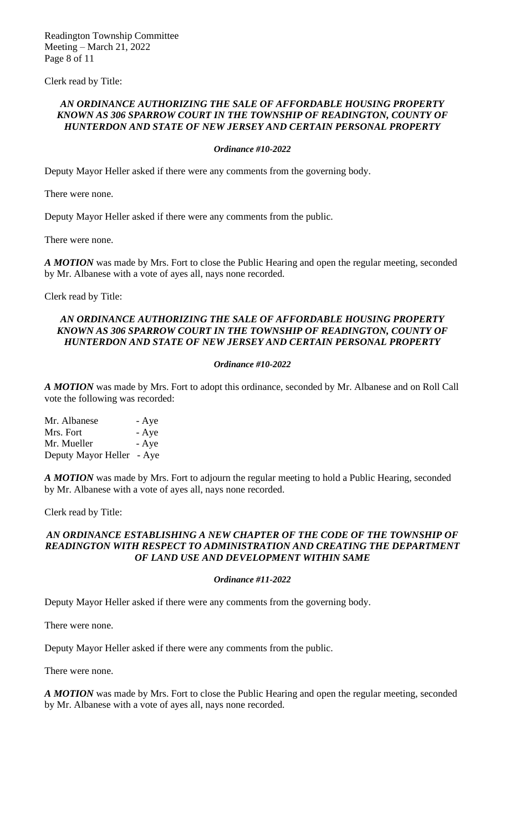Readington Township Committee Meeting – March 21, 2022 Page 8 of 11

Clerk read by Title:

#### *AN ORDINANCE AUTHORIZING THE SALE OF AFFORDABLE HOUSING PROPERTY KNOWN AS 306 SPARROW COURT IN THE TOWNSHIP OF READINGTON, COUNTY OF HUNTERDON AND STATE OF NEW JERSEY AND CERTAIN PERSONAL PROPERTY*

#### *Ordinance #10-2022*

Deputy Mayor Heller asked if there were any comments from the governing body.

There were none.

Deputy Mayor Heller asked if there were any comments from the public.

There were none.

*A MOTION* was made by Mrs. Fort to close the Public Hearing and open the regular meeting, seconded by Mr. Albanese with a vote of ayes all, nays none recorded.

Clerk read by Title:

#### *AN ORDINANCE AUTHORIZING THE SALE OF AFFORDABLE HOUSING PROPERTY KNOWN AS 306 SPARROW COURT IN THE TOWNSHIP OF READINGTON, COUNTY OF HUNTERDON AND STATE OF NEW JERSEY AND CERTAIN PERSONAL PROPERTY*

#### *Ordinance #10-2022*

*A MOTION* was made by Mrs. Fort to adopt this ordinance*,* seconded by Mr. Albanese and on Roll Call vote the following was recorded:

Mr. Albanese - Aye Mrs. Fort - Aye Mr. Mueller - Aye Deputy Mayor Heller - Aye

*A MOTION* was made by Mrs. Fort to adjourn the regular meeting to hold a Public Hearing, seconded by Mr. Albanese with a vote of ayes all, nays none recorded.

Clerk read by Title:

#### AN ORDINANCE ESTABLISHING A NEW CHAPTER OF THE CODE OF THE TOWNSHIP OF *READINGTON WITH RESPECT TO ADMINISTRATION AND CREATING THE DEPARTMENT OF LAND USE AND DEVELOPMENT WITHIN SAME*

#### *Ordinance #11-2022*

Deputy Mayor Heller asked if there were any comments from the governing body.

There were none.

Deputy Mayor Heller asked if there were any comments from the public.

There were none.

*A MOTION* was made by Mrs. Fort to close the Public Hearing and open the regular meeting, seconded by Mr. Albanese with a vote of ayes all, nays none recorded.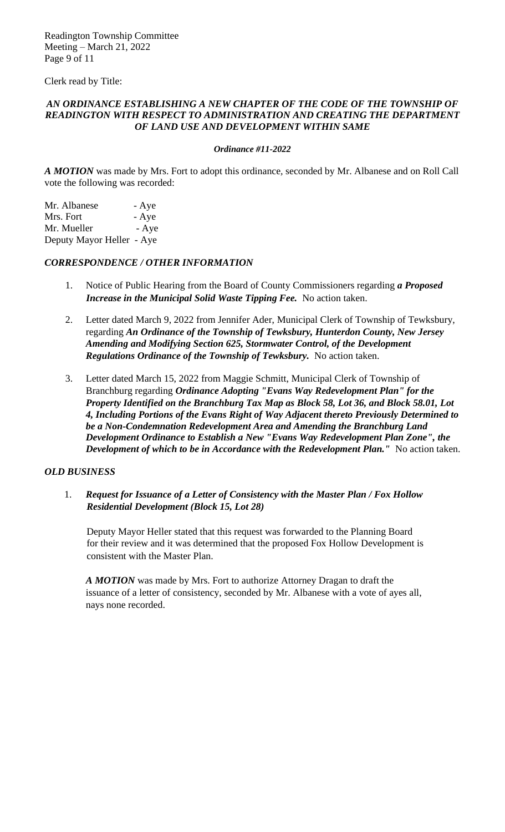Readington Township Committee Meeting – March 21, 2022 Page 9 of 11

Clerk read by Title:

## AN ORDINANCE ESTABLISHING A NEW CHAPTER OF THE CODE OF THE TOWNSHIP OF *READINGTON WITH RESPECT TO ADMINISTRATION AND CREATING THE DEPARTMENT OF LAND USE AND DEVELOPMENT WITHIN SAME*

#### *Ordinance #11-2022*

*A MOTION* was made by Mrs. Fort to adopt this ordinance*,* seconded by Mr. Albanese and on Roll Call vote the following was recorded:

Mr. Albanese - Aye Mrs. Fort - Aye Mr. Mueller  $-$  Aye Deputy Mayor Heller - Aye

#### *CORRESPONDENCE / OTHER INFORMATION*

- 1. Notice of Public Hearing from the Board of County Commissioners regarding *a Proposed Increase in the Municipal Solid Waste Tipping Fee.* No action taken.
- 2. Letter dated March 9, 2022 from Jennifer Ader, Municipal Clerk of Township of Tewksbury, regarding *An Ordinance of the Township of Tewksbury, Hunterdon County, New Jersey Amending and Modifying Section 625, Stormwater Control, of the Development Regulations Ordinance of the Township of Tewksbury.* No action taken.
- 3. Letter dated March 15, 2022 from Maggie Schmitt, Municipal Clerk of Township of Branchburg regarding *Ordinance Adopting "Evans Way Redevelopment Plan" for the Property Identified on the Branchburg Tax Map as Block 58, Lot 36, and Block 58.01, Lot 4, Including Portions of the Evans Right of Way Adjacent thereto Previously Determined to be a Non-Condemnation Redevelopment Area and Amending the Branchburg Land Development Ordinance to Establish a New "Evans Way Redevelopment Plan Zone", the Development of which to be in Accordance with the Redevelopment Plan."* **No action taken.**

#### *OLD BUSINESS*

1. *Request for Issuance of a Letter of Consistency with the Master Plan / Fox Hollow Residential Development (Block 15, Lot 28)*

Deputy Mayor Heller stated that this request was forwarded to the Planning Board for their review and it was determined that the proposed Fox Hollow Development is consistent with the Master Plan.

*A MOTION* was made by Mrs. Fort to authorize Attorney Dragan to draft the issuance of a letter of consistency, seconded by Mr. Albanese with a vote of ayes all, nays none recorded.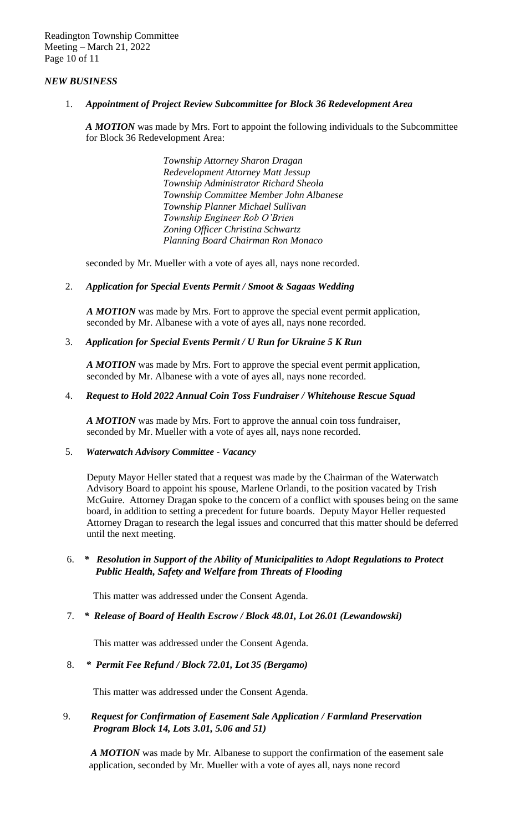Readington Township Committee Meeting – March 21, 2022 Page 10 of 11

# *NEW BUSINESS*

1. *Appointment of Project Review Subcommittee for Block 36 Redevelopment Area*

*A MOTION* was made by Mrs. Fort to appoint the following individuals to the Subcommittee for Block 36 Redevelopment Area:

> *Township Attorney Sharon Dragan Redevelopment Attorney Matt Jessup Township Administrator Richard Sheola Township Committee Member John Albanese Township Planner Michael Sullivan Township Engineer Rob O'Brien Zoning Officer Christina Schwartz Planning Board Chairman Ron Monaco*

seconded by Mr. Mueller with a vote of ayes all, nays none recorded.

#### 2. *Application for Special Events Permit / Smoot & Sagaas Wedding*

*A MOTION* was made by Mrs. Fort to approve the special event permit application, seconded by Mr. Albanese with a vote of ayes all, nays none recorded.

#### 3. *Application for Special Events Permit / U Run for Ukraine 5 K Run*

*A MOTION* was made by Mrs. Fort to approve the special event permit application, seconded by Mr. Albanese with a vote of ayes all, nays none recorded.

#### 4. *Request to Hold 2022 Annual Coin Toss Fundraiser / Whitehouse Rescue Squad*

*A MOTION* was made by Mrs. Fort to approve the annual coin toss fundraiser, seconded by Mr. Mueller with a vote of ayes all, nays none recorded.

#### 5. *Waterwatch Advisory Committee - Vacancy*

Deputy Mayor Heller stated that a request was made by the Chairman of the Waterwatch Advisory Board to appoint his spouse, Marlene Orlandi, to the position vacated by Trish McGuire. Attorney Dragan spoke to the concern of a conflict with spouses being on the same board, in addition to setting a precedent for future boards. Deputy Mayor Heller requested Attorney Dragan to research the legal issues and concurred that this matter should be deferred until the next meeting.

# 6. *\* Resolution in Support of the Ability of Municipalities to Adopt Regulations to Protect Public Health, Safety and Welfare from Threats of Flooding*

This matter was addressed under the Consent Agenda.

#### 7. *\* Release of Board of Health Escrow / Block 48.01, Lot 26.01 (Lewandowski)*

This matter was addressed under the Consent Agenda.

#### 8. *\* Permit Fee Refund / Block 72.01, Lot 35 (Bergamo)*

This matter was addressed under the Consent Agenda.

# 9. *Request for Confirmation of Easement Sale Application / Farmland Preservation Program Block 14, Lots 3.01, 5.06 and 51)*

 *A MOTION* was made by Mr. Albanese to support the confirmation of the easement sale application, seconded by Mr. Mueller with a vote of ayes all, nays none record